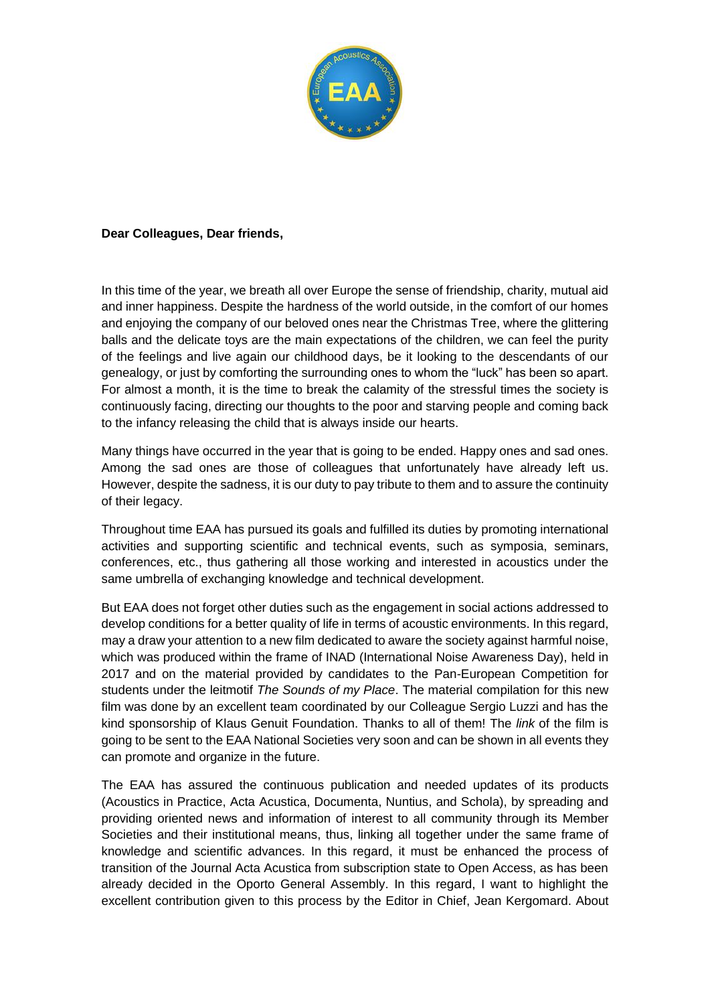

## **Dear Colleagues, Dear friends,**

In this time of the year, we breath all over Europe the sense of friendship, charity, mutual aid and inner happiness. Despite the hardness of the world outside, in the comfort of our homes and enjoying the company of our beloved ones near the Christmas Tree, where the glittering balls and the delicate toys are the main expectations of the children, we can feel the purity of the feelings and live again our childhood days, be it looking to the descendants of our genealogy, or just by comforting the surrounding ones to whom the "luck" has been so apart. For almost a month, it is the time to break the calamity of the stressful times the society is continuously facing, directing our thoughts to the poor and starving people and coming back to the infancy releasing the child that is always inside our hearts.

Many things have occurred in the year that is going to be ended. Happy ones and sad ones. Among the sad ones are those of colleagues that unfortunately have already left us. However, despite the sadness, it is our duty to pay tribute to them and to assure the continuity of their legacy.

Throughout time EAA has pursued its goals and fulfilled its duties by promoting international activities and supporting scientific and technical events, such as symposia, seminars, conferences, etc., thus gathering all those working and interested in acoustics under the same umbrella of exchanging knowledge and technical development.

But EAA does not forget other duties such as the engagement in social actions addressed to develop conditions for a better quality of life in terms of acoustic environments. In this regard, may a draw your attention to a new film dedicated to aware the society against harmful noise, which was produced within the frame of INAD (International Noise Awareness Day), held in 2017 and on the material provided by candidates to the Pan-European Competition for students under the leitmotif *The Sounds of my Place*. The material compilation for this new film was done by an excellent team coordinated by our Colleague Sergio Luzzi and has the kind sponsorship of Klaus Genuit Foundation. Thanks to all of them! The *link* of the film is going to be sent to the EAA National Societies very soon and can be shown in all events they can promote and organize in the future.

The EAA has assured the continuous publication and needed updates of its products (Acoustics in Practice, Acta Acustica, Documenta, Nuntius, and Schola), by spreading and providing oriented news and information of interest to all community through its Member Societies and their institutional means, thus, linking all together under the same frame of knowledge and scientific advances. In this regard, it must be enhanced the process of transition of the Journal Acta Acustica from subscription state to Open Access, as has been already decided in the Oporto General Assembly. In this regard, I want to highlight the excellent contribution given to this process by the Editor in Chief, Jean Kergomard. About